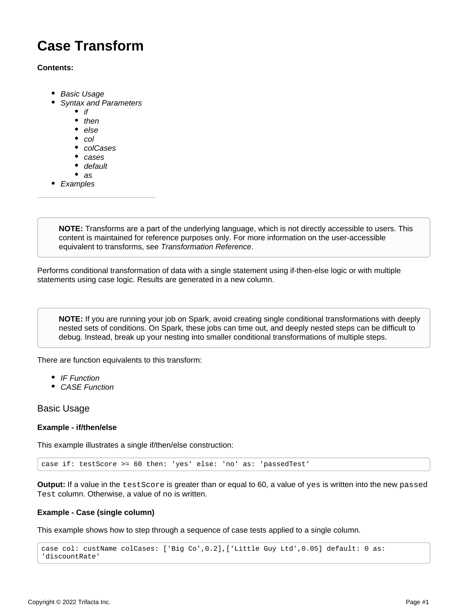# **Case Transform**

## **Contents:**

- [Basic Usage](#page-0-0)
- [Syntax and Parameters](#page-1-0)
	- $\bullet$  [if](#page-2-0)
	- [then](#page-2-1)
	- [else](#page-2-2)
	- $\bullet$  [col](#page-2-3)
	- [colCases](#page-3-0)
	- [cases](#page-3-1)
	- [default](#page-3-2)
	- $as$  $as$
- [Examples](#page-4-0)

**NOTE:** Transforms are a part of the underlying language, which is not directly accessible to users. This content is maintained for reference purposes only. For more information on the user-accessible equivalent to transforms, see [Transformation Reference](https://docs.trifacta.com/display/r064/Transformation+Reference).

Performs conditional transformation of data with a single statement using if-then-else logic or with multiple statements using case logic. Results are generated in a new column.

**NOTE:** If you are running your job on Spark, avoid creating single conditional transformations with deeply nested sets of conditions. On Spark, these jobs can time out, and deeply nested steps can be difficult to debug. Instead, break up your nesting into smaller conditional transformations of multiple steps.

There are function equivalents to this transform:

- [IF Function](https://docs.trifacta.com/display/r064/IF+Function)
- [CASE Function](https://docs.trifacta.com/display/r064/CASE+Function)

<span id="page-0-0"></span>Basic Usage

## **Example - if/then/else**

This example illustrates a single if/then/else construction:

case if: testScore >= 60 then: 'yes' else: 'no' as: 'passedTest'

**Output:** If a value in the testScore is greater than or equal to 60, a value of yes is written into the new passed Test column. Otherwise, a value of no is written.

## **Example - Case (single column)**

This example shows how to step through a sequence of case tests applied to a single column.

```
case col: custName colCases: ['Big Co',0.2],['Little Guy Ltd',0.05] default: 0 as: 
'discountRate'
```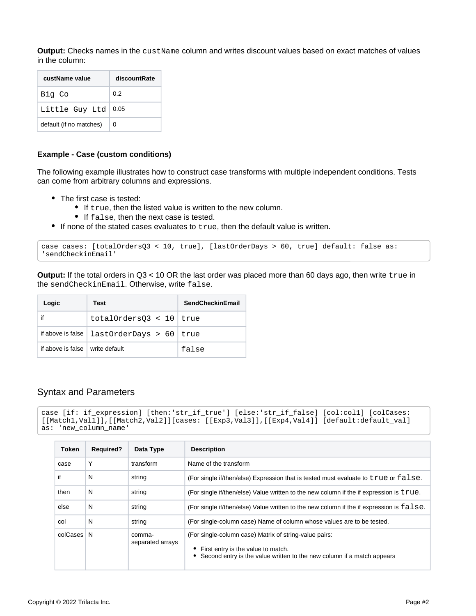**Output:** Checks names in the custName column and writes discount values based on exact matches of values in the column:

| custName value          | discountRate |
|-------------------------|--------------|
| Big Co                  | 0.2          |
| Little Guy Ltd          | 0.05         |
| default (if no matches) | 0            |

#### **Example - Case (custom conditions)**

The following example illustrates how to construct case transforms with multiple independent conditions. Tests can come from arbitrary columns and expressions.

- The first case is tested:
	- If true, then the listed value is written to the new column.
	- **If false, then the next case is tested.**
- $\bullet$  If none of the stated cases evaluates to  $true$ , then the default value is written.

```
case cases: [totalOrdersQ3 < 10, true], [lastOrderDays > 60, true] default: false as: 
'sendCheckinEmail'
```
**Output:** If the total orders in Q3 < 10 OR the last order was placed more than 60 days ago, then write true in the sendCheckinEmail. Otherwise, write false.

| Logic                             | Test                                                | <b>SendCheckinEmail</b> |
|-----------------------------------|-----------------------------------------------------|-------------------------|
| if                                | totalOrders03 < $10$ true                           |                         |
|                                   | if above is false $ $ last Order Days > 60 $ $ true |                         |
| if above is false I write default |                                                     | false                   |

## <span id="page-1-0"></span>Syntax and Parameters

```
case [if: if expression] [then:'str_if_true'] [else:'str_if_false] [col:col1] [colCases:
[[Match1,Val1]],[[Match2,Val2]][cases: [[Exp3,Val3]],[[Exp4,Val4]] [default:default_val] 
as: 'new_column_name'
```

| Token    | <b>Required?</b> | Data Type                  | <b>Description</b>                                                                                                                                                     |
|----------|------------------|----------------------------|------------------------------------------------------------------------------------------------------------------------------------------------------------------------|
| case     | Υ                | transform                  | Name of the transform                                                                                                                                                  |
| if       | N                | string                     | (For single if/then/else) Expression that is tested must evaluate to true or false.                                                                                    |
| then     | N                | string                     | (For single if/then/else) Value written to the new column if the if expression is true.                                                                                |
| else     | N                | string                     | (For single if/then/else) Value written to the new column if the if expression is $false$ .                                                                            |
| col      | N                | string                     | (For single-column case) Name of column whose values are to be tested.                                                                                                 |
| colCases | N                | comma-<br>separated arrays | (For single-column case) Matrix of string-value pairs:<br>First entry is the value to match.<br>Second entry is the value written to the new column if a match appears |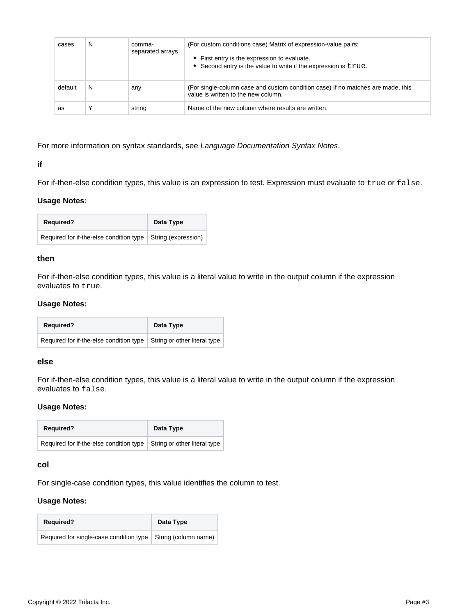| cases   | N | comma-<br>separated arrays | (For custom conditions case) Matrix of expression-value pairs:<br>• First entry is the expression to evaluate.<br>• Second entry is the value to write if the expression is true. |
|---------|---|----------------------------|-----------------------------------------------------------------------------------------------------------------------------------------------------------------------------------|
| default | N | any                        | (For single-column case and custom condition case) If no matches are made, this<br>value is written to the new column.                                                            |
| as      |   | string                     | Name of the new column where results are written.                                                                                                                                 |

For more information on syntax standards, see [Language Documentation Syntax Notes](https://docs.trifacta.com/display/r064/Language+Documentation+Syntax+Notes).

## <span id="page-2-0"></span>**if**

For if-then-else condition types, this value is an expression to test. Expression must evaluate to true or false.

## **Usage Notes:**

| <b>Required?</b>                                              | Data Type |
|---------------------------------------------------------------|-----------|
| Required for if-the-else condition type   String (expression) |           |

## <span id="page-2-1"></span>**then**

For if-then-else condition types, this value is a literal value to write in the output column if the expression evaluates to true.

## **Usage Notes:**

| <b>Required?</b>                                                       | Data Type |
|------------------------------------------------------------------------|-----------|
| Required for if-the-else condition type   String or other literal type |           |

#### <span id="page-2-2"></span>**else**

For if-then-else condition types, this value is a literal value to write in the output column if the expression evaluates to false.

## **Usage Notes:**

| <b>Required?</b>                        | Data Type                    |
|-----------------------------------------|------------------------------|
| Required for if-the-else condition type | String or other literal type |

## <span id="page-2-3"></span>**col**

For single-case condition types, this value identifies the column to test.

## **Usage Notes:**

| <b>Required?</b>                                               | Data Type |
|----------------------------------------------------------------|-----------|
| Required for single-case condition type   String (column name) |           |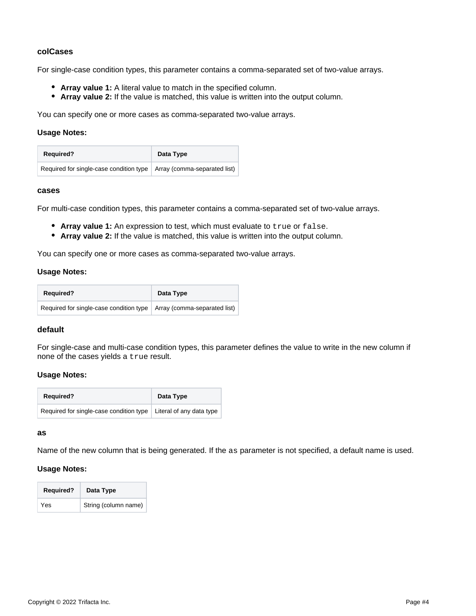## <span id="page-3-0"></span>**colCases**

For single-case condition types, this parameter contains a comma-separated set of two-value arrays.

- **Array value 1:** A literal value to match in the specified column.
- **Array value 2:** If the value is matched, this value is written into the output column.

You can specify one or more cases as comma-separated two-value arrays.

#### **Usage Notes:**

| <b>Required?</b>                                                             | Data Type |
|------------------------------------------------------------------------------|-----------|
| Required for single-case condition type $\vert$ Array (comma-separated list) |           |

#### <span id="page-3-1"></span>**cases**

For multi-case condition types, this parameter contains a comma-separated set of two-value arrays.

- **Array value 1:** An expression to test, which must evaluate to true or false.
- **Array value 2:** If the value is matched, this value is written into the output column.

You can specify one or more cases as comma-separated two-value arrays.

## **Usage Notes:**

| <b>Required?</b>                                                       | Data Type |
|------------------------------------------------------------------------|-----------|
| Required for single-case condition type   Array (comma-separated list) |           |

## <span id="page-3-2"></span>**default**

For single-case and multi-case condition types, this parameter defines the value to write in the new column if none of the cases yields a true result.

## **Usage Notes:**

| <b>Required?</b>                        | Data Type                |
|-----------------------------------------|--------------------------|
| Required for single-case condition type | Literal of any data type |

#### <span id="page-3-3"></span>**as**

Name of the new column that is being generated. If the as parameter is not specified, a default name is used.

## **Usage Notes:**

| <b>Required?</b> | Data Type            |
|------------------|----------------------|
| Yes              | String (column name) |